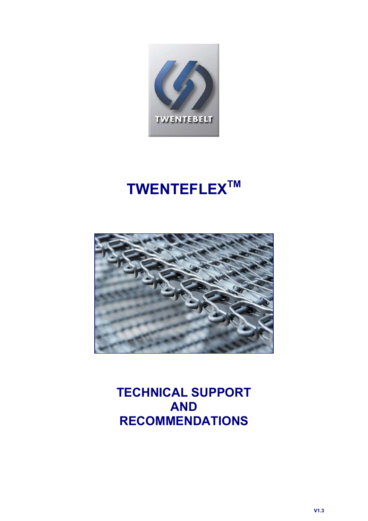

# TWENTEFLEX<sup>TM</sup>



TECHNICAL SUPPORT AND RECOMMENDATIONS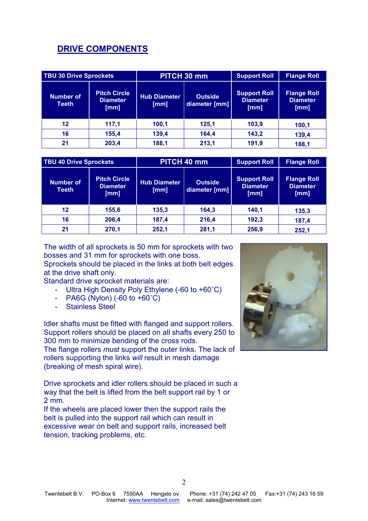## DRIVE COMPONENTS

| <b>TBU 30 Drive Sprockets</b> |                                                | PITCH 30 mm                 |                                 | <b>Support Roll</b>                            | <b>Flange Roll</b>                            |
|-------------------------------|------------------------------------------------|-----------------------------|---------------------------------|------------------------------------------------|-----------------------------------------------|
| Number of<br>Teeth            | <b>Pitch Circle</b><br><b>Diameter</b><br>[mm] | <b>Hub Diameter</b><br>[mm] | <b>Outside</b><br>diameter [mm] | <b>Support Roll</b><br><b>Diameter</b><br>[mm] | <b>Flange Roll</b><br><b>Diameter</b><br>[mm] |
| $12 \,$                       | 117,1                                          | 100,1                       | 125,1                           | 103,9                                          | 100,1                                         |
| 16                            | 155,4                                          | 139,4                       | 164,4                           | 143,2                                          | 139,4                                         |
| 21                            | 203,4                                          | 188,1                       | 213,1                           | 191,9                                          | 188,1                                         |

| <b>TBU 40 Drive Sprockets</b>    |                                                | PITCH 40 mm                 |                                 | <b>Support Roll</b>                            | <b>Flange Roll</b>                            |
|----------------------------------|------------------------------------------------|-----------------------------|---------------------------------|------------------------------------------------|-----------------------------------------------|
| <b>Number of</b><br><b>Teeth</b> | <b>Pitch Circle</b><br><b>Diameter</b><br>[mm] | <b>Hub Diameter</b><br>[mm] | <b>Outside</b><br>diameter [mm] | <b>Support Roll</b><br><b>Diameter</b><br>[mm] | <b>Flange Roll</b><br><b>Diameter</b><br>[mm] |
| $12 \,$                          | 155,6                                          | 135,3                       | 164,3                           | 140.1                                          | 135,3                                         |
| 16                               | 206,4                                          | 187,4                       | 216,4                           | 192,3                                          | 187,4                                         |
| 21                               | 270,1                                          | 252,1                       | 281,1                           | 256,9                                          | 252,1                                         |

The width of all sprockets is 50 mm for sprockets with two bosses and 31 mm for sprockets with one boss.

Sprockets should be placed in the links at both belt edges at the drive shaft only.

Standard drive sprocket materials are:

- Ultra High Density Poly Ethylene (-60 to +60˚C)
- PA6G (Nylon)  $(-60 \text{ to } +60^{\circ}\text{C})$
- Stainless Steel

Idler shafts must be fitted with flanged and support rollers. Support rollers should be placed on all shafts every 250 to 300 mm to minimize bending of the cross rods.

The flange rollers *must* support the outer links. The lack of rollers supporting the links *will* result in mesh damage (breaking of mesh spiral wire).

Drive sprockets and idler rollers should be placed in such a way that the belt is lifted from the belt support rail by 1 or 2 mm.

If the wheels are placed lower then the support rails the belt is pulled into the support rail which can result in excessive wear on belt and support rails, increased belt tension, tracking problems, etc.

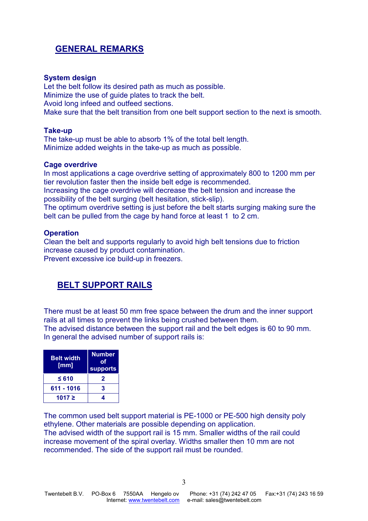## GENERAL REMARKS

#### System design

Let the belt follow its desired path as much as possible. Minimize the use of guide plates to track the belt. Avoid long infeed and outfeed sections. Make sure that the belt transition from one belt support section to the next is smooth.

#### Take-up

The take-up must be able to absorb 1% of the total belt length. Minimize added weights in the take-up as much as possible.

#### Cage overdrive

In most applications a cage overdrive setting of approximately 800 to 1200 mm per tier revolution faster then the inside belt edge is recommended. Increasing the cage overdrive will decrease the belt tension and increase the possibility of the belt surging (belt hesitation, stick-slip). The optimum overdrive setting is just before the belt starts surging making sure the belt can be pulled from the cage by hand force at least 1 to 2 cm.

#### **Operation**

Clean the belt and supports regularly to avoid high belt tensions due to friction increase caused by product contamination. Prevent excessive ice build-up in freezers.

## BELT SUPPORT RAILS

There must be at least 50 mm free space between the drum and the inner support rails at all times to prevent the links being crushed between them. The advised distance between the support rail and the belt edges is 60 to 90 mm. In general the advised number of support rails is:

| <b>Belt width</b><br>[mm] | <b>Number</b><br>оf<br><b>supports</b> |  |
|---------------------------|----------------------------------------|--|
| $\leq 610$                | 2                                      |  |
| 611 - 1016                | 3                                      |  |
| 1017 ≥                    |                                        |  |

The common used belt support material is PE-1000 or PE-500 high density poly ethylene. Other materials are possible depending on application. The advised width of the support rail is 15 mm. Smaller widths of the rail could increase movement of the spiral overlay. Widths smaller then 10 mm are not recommended. The side of the support rail must be rounded.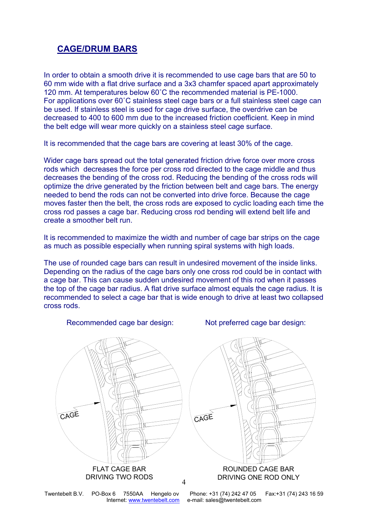## CAGE/DRUM BARS

In order to obtain a smooth drive it is recommended to use cage bars that are 50 to 60 mm wide with a flat drive surface and a 3x3 chamfer spaced apart approximately 120 mm. At temperatures below 60˚C the recommended material is PE-1000. For applications over 60˚C stainless steel cage bars or a full stainless steel cage can be used. If stainless steel is used for cage drive surface, the overdrive can be decreased to 400 to 600 mm due to the increased friction coefficient. Keep in mind the belt edge will wear more quickly on a stainless steel cage surface.

It is recommended that the cage bars are covering at least 30% of the cage.

Wider cage bars spread out the total generated friction drive force over more cross rods which decreases the force per cross rod directed to the cage middle and thus decreases the bending of the cross rod. Reducing the bending of the cross rods will optimize the drive generated by the friction between belt and cage bars. The energy needed to bend the rods can not be converted into drive force. Because the cage moves faster then the belt, the cross rods are exposed to cyclic loading each time the cross rod passes a cage bar. Reducing cross rod bending will extend belt life and create a smoother belt run.

It is recommended to maximize the width and number of cage bar strips on the cage as much as possible especially when running spiral systems with high loads.

The use of rounded cage bars can result in undesired movement of the inside links. Depending on the radius of the cage bars only one cross rod could be in contact with a cage bar. This can cause sudden undesired movement of this rod when it passes the top of the cage bar radius. A flat drive surface almost equals the cage radius. It is recommended to select a cage bar that is wide enough to drive at least two collapsed cross rods.

Recommended cage bar design: Not preferred cage bar design:





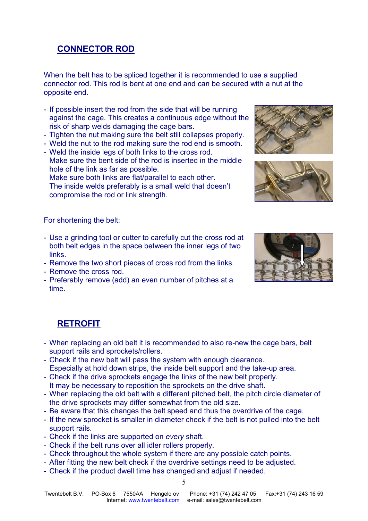## CONNECTOR ROD

When the belt has to be spliced together it is recommended to use a supplied connector rod. This rod is bent at one end and can be secured with a nut at the opposite end.

- If possible insert the rod from the side that will be running against the cage. This creates a continuous edge without the risk of sharp welds damaging the cage bars.
- Tighten the nut making sure the belt still collapses properly.
- Weld the nut to the rod making sure the rod end is smooth.
- Weld the inside legs of both links to the cross rod. Make sure the bent side of the rod is inserted in the middle
- hole of the link as far as possible.

Make sure both links are flat/parallel to each other. The inside welds preferably is a small weld that doesn't compromise the rod or link strength.

#### For shortening the belt:

- Use a grinding tool or cutter to carefully cut the cross rod at both belt edges in the space between the inner legs of two links.
- Remove the two short pieces of cross rod from the links.
- Remove the cross rod.
- Preferably remove (add) an even number of pitches at a time.







### **RETROFIT**

- When replacing an old belt it is recommended to also re-new the cage bars, belt support rails and sprockets/rollers.
- Check if the new belt will pass the system with enough clearance. Especially at hold down strips, the inside belt support and the take-up area.
- Check if the drive sprockets engage the links of the new belt properly. It may be necessary to reposition the sprockets on the drive shaft.
- When replacing the old belt with a different pitched belt, the pitch circle diameter of the drive sprockets may differ somewhat from the old size.
- Be aware that this changes the belt speed and thus the overdrive of the cage.
- If the new sprocket is smaller in diameter check if the belt is not pulled into the belt support rails.
- Check if the links are supported on *every* shaft.
- Check if the belt runs over all idler rollers properly.
- Check throughout the whole system if there are any possible catch points.
- After fitting the new belt check if the overdrive settings need to be adjusted.
- Check if the product dwell time has changed and adjust if needed.